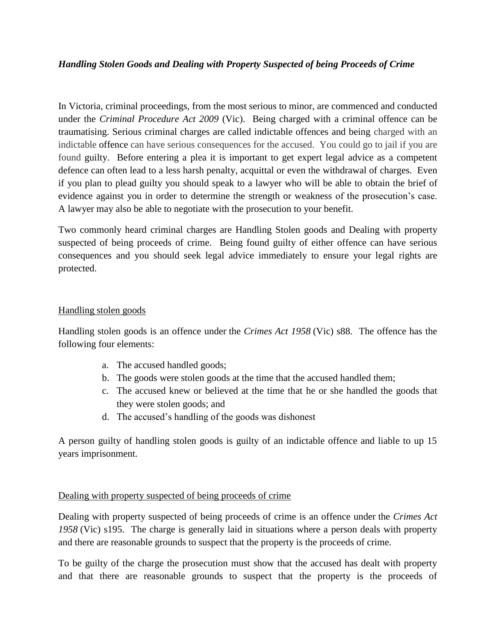## *Handling Stolen Goods and Dealing with Property Suspected of being Proceeds of Crime*

In Victoria, criminal proceedings, from the most serious to minor, are commenced and conducted under the *Criminal Procedure Act 2009* (Vic). Being charged with a criminal offence can be traumatising. Serious criminal charges are called indictable offences and being charged with an indictable offence can have serious consequences for the accused. You could go to jail if you are found guilty. Before entering a plea it is important to get expert legal advice as a competent defence can often lead to a less harsh penalty, acquittal or even the withdrawal of charges. Even if you plan to plead guilty you should speak to a lawyer who will be able to obtain the brief of evidence against you in order to determine the strength or weakness of the prosecution's case. A lawyer may also be able to negotiate with the prosecution to your benefit.

Two commonly heard criminal charges are Handling Stolen goods and Dealing with property suspected of being proceeds of crime. Being found guilty of either offence can have serious consequences and you should seek legal advice immediately to ensure your legal rights are protected.

## Handling stolen goods

Handling stolen goods is an offence under the *Crimes Act 1958* (Vic) s88. The offence has the following four elements:

- a. The accused handled goods;
- b. The goods were stolen goods at the time that the accused handled them;
- c. The accused knew or believed at the time that he or she handled the goods that they were stolen goods; and
- d. The accused's handling of the goods was dishonest

A person guilty of handling stolen goods is guilty of an indictable offence and liable to up 15 years imprisonment.

## Dealing with property suspected of being proceeds of crime

Dealing with property suspected of being proceeds of crime is an offence under the *Crimes Act 1958* (Vic) s195. The charge is generally laid in situations where a person deals with property and there are reasonable grounds to suspect that the property is the proceeds of crime.

To be guilty of the charge the prosecution must show that the accused has dealt with property and that there are reasonable grounds to suspect that the property is the proceeds of